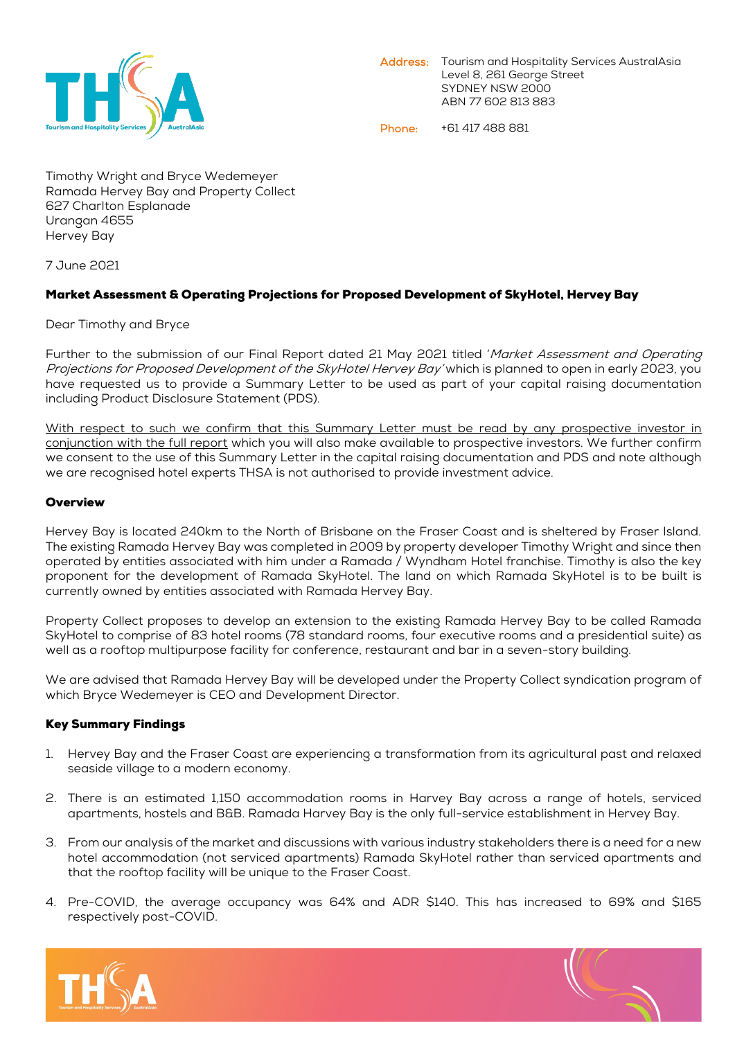

Phone: +61 417 488 881

Timothy Wright and Bryce Wedemeyer Ramada Hervey Bay and Property Collect 627 Charlton Esplanade Urangan 4655 Hervey Bay

7 June 2021

## Market Assessment & Operating Projections for Proposed Development of SkyHotel, Hervey Bay

Dear Timothy and Bryce

Further to the submission of our Final Report dated 21 May 2021 titled 'Market Assessment and Operating Projections for Proposed Development of the SkyHotel Hervey Bay' which is planned to open in early 2023, you have requested us to provide a Summary Letter to be used as part of your capital raising documentation including Product Disclosure Statement (PDS).

With respect to such we confirm that this Summary Letter must be read by any prospective investor in conjunction with the full report which you will also make available to prospective investors. We further confirm we consent to the use of this Summary Letter in the capital raising documentation and PDS and note although we are recognised hotel experts THSA is not authorised to provide investment advice.

## **Overview**

Hervey Bay is located 240km to the North of Brisbane on the Fraser Coast and is sheltered by Fraser Island. The existing Ramada Hervey Bay was completed in 2009 by property developer Timothy Wright and since then operated by entities associated with him under a Ramada / Wyndham Hotel franchise. Timothy is also the key proponent for the development of Ramada SkyHotel. The land on which Ramada SkyHotel is to be built is currently owned by entities associated with Ramada Hervey Bay.

Property Collect proposes to develop an extension to the existing Ramada Hervey Bay to be called Ramada SkyHotel to comprise of 83 hotel rooms (78 standard rooms, four executive rooms and a presidential suite) as well as a rooftop multipurpose facility for conference, restaurant and bar in a seven-story building.

We are advised that Ramada Hervey Bay will be developed under the Property Collect syndication program of which Bryce Wedemeyer is CEO and Development Director.

## Key Summary Findings

- 1. Hervey Bay and the Fraser Coast are experiencing a transformation from its agricultural past and relaxed seaside village to a modern economy.
- 2. There is an estimated 1,150 accommodation rooms in Harvey Bay across a range of hotels, serviced apartments, hostels and B&B. Ramada Harvey Bay is the only full-service establishment in Hervey Bay.
- 3. From our analysis of the market and discussions with various industry stakeholders there is a need for a new hotel accommodation (not serviced apartments) Ramada SkyHotel rather than serviced apartments and that the rooftop facility will be unique to the Fraser Coast.
- 4. Pre-COVID, the average occupancy was 64% and ADR \$140. This has increased to 69% and \$165 respectively post-COVID.